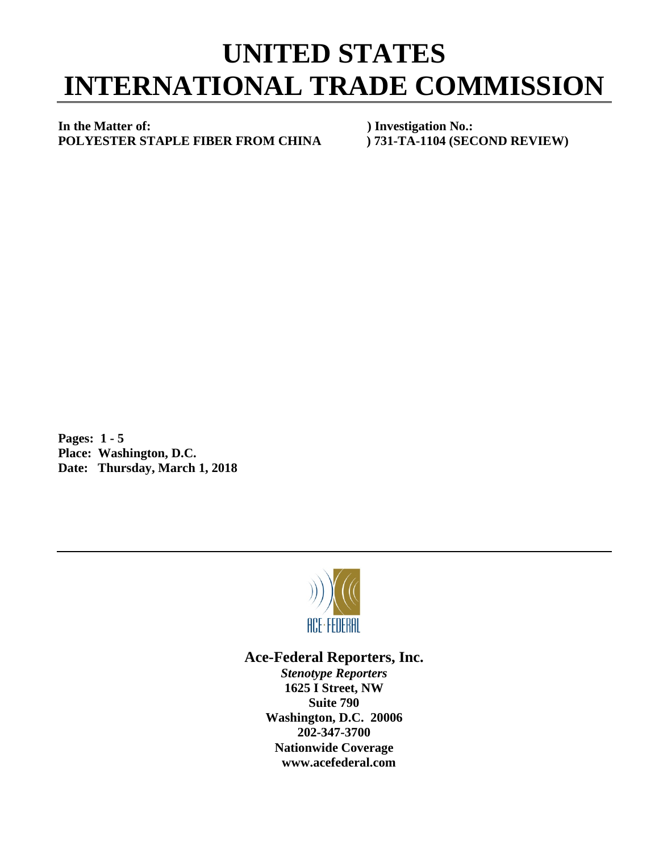## **UNITED STATES INTERNATIONAL TRADE COMMISSION**

**In the Matter of: ) Investigation No.: POLYESTER STAPLE FIBER FROM CHINA ) 731-TA-1104 (SECOND REVIEW)**

**Pages: 1 - 5 Place: Washington, D.C. Date: Thursday, March 1, 2018**



## **Ace-Federal Reporters, Inc.**

*Stenotype Reporters* **1625 I Street, NW Suite 790 Washington, D.C. 20006 202-347-3700 Nationwide Coverage www.acefederal.com**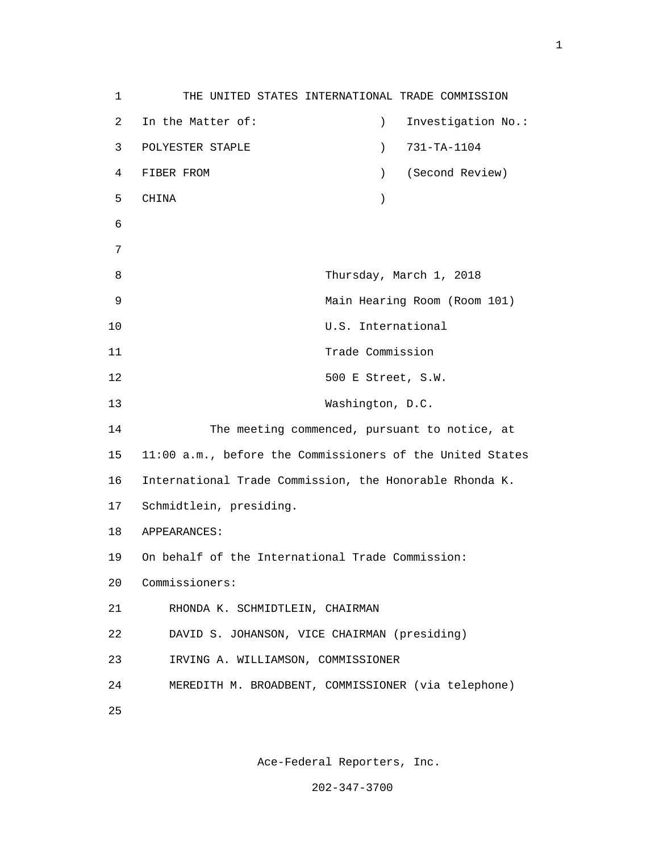1 THE UNITED STATES INTERNATIONAL TRADE COMMISSION 2 In the Matter of: ) Investigation No.: 3 POLYESTER STAPLE ) 731-TA-1104 4 FIBER FROM ) (Second Review) 5 CHINA ) 6 7 8 Thursday, March 1, 2018 9 Main Hearing Room (Room 101) 10 U.S. International 11 Trade Commission 12 500 E Street, S.W. 13 Washington, D.C. 14 The meeting commenced, pursuant to notice, at 15 11:00 a.m., before the Commissioners of the United States 16 International Trade Commission, the Honorable Rhonda K. 17 Schmidtlein, presiding. 18 APPEARANCES: 19 On behalf of the International Trade Commission: 20 Commissioners: 21 RHONDA K. SCHMIDTLEIN, CHAIRMAN 22 DAVID S. JOHANSON, VICE CHAIRMAN (presiding) 23 IRVING A. WILLIAMSON, COMMISSIONER 24 MEREDITH M. BROADBENT, COMMISSIONER (via telephone) <u>25</u>

Ace-Federal Reporters, Inc.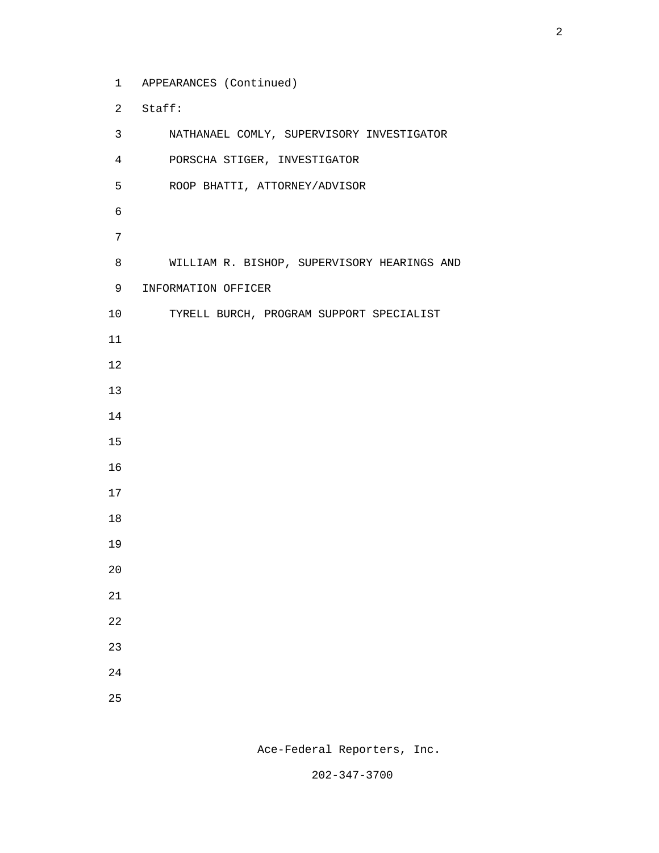1 APPEARANCES (Continued)

2 Staff:

 3 NATHANAEL COMLY, SUPERVISORY INVESTIGATOR 4 PORSCHA STIGER, INVESTIGATOR 5 ROOP BHATTI, ATTORNEY/ADVISOR 8 WILLIAM R. BISHOP, SUPERVISORY HEARINGS AND 9 INFORMATION OFFICER 10 TYRELL BURCH, PROGRAM SUPPORT SPECIALIST 

Ace-Federal Reporters, Inc.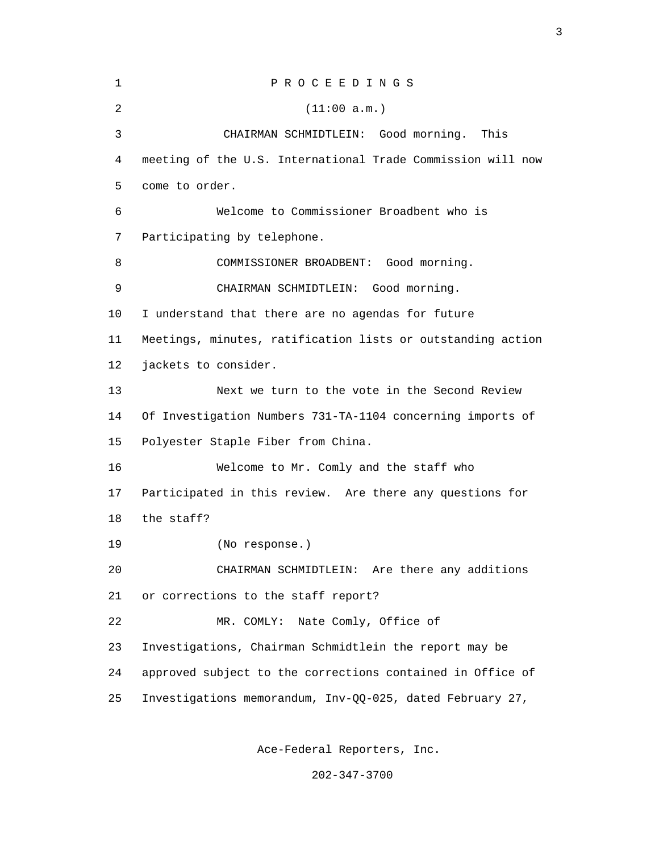| 1  | PROCEEDINGS                                                 |
|----|-------------------------------------------------------------|
| 2  | (11:00 a.m.)                                                |
| 3  | CHAIRMAN SCHMIDTLEIN: Good morning.<br>This                 |
| 4  | meeting of the U.S. International Trade Commission will now |
| 5  | come to order.                                              |
| 6  | Welcome to Commissioner Broadbent who is                    |
| 7  | Participating by telephone.                                 |
| 8  | COMMISSIONER BROADBENT: Good morning.                       |
| 9  | CHAIRMAN SCHMIDTLEIN: Good morning.                         |
| 10 | I understand that there are no agendas for future           |
| 11 | Meetings, minutes, ratification lists or outstanding action |
| 12 | jackets to consider.                                        |
| 13 | Next we turn to the vote in the Second Review               |
| 14 | Of Investigation Numbers 731-TA-1104 concerning imports of  |
| 15 | Polyester Staple Fiber from China.                          |
| 16 | Welcome to Mr. Comly and the staff who                      |
| 17 | Participated in this review. Are there any questions for    |
| 18 | the staff?                                                  |
| 19 | (No response.)                                              |
| 20 | CHAIRMAN SCHMIDTLEIN: Are there any additions               |
| 21 | or corrections to the staff report?                         |
| 22 | Nate Comly, Office of<br>MR. COMLY:                         |
| 23 | Investigations, Chairman Schmidtlein the report may be      |
| 24 | approved subject to the corrections contained in Office of  |
| 25 | Investigations memorandum, Inv-QQ-025, dated February 27,   |
|    |                                                             |

Ace-Federal Reporters, Inc.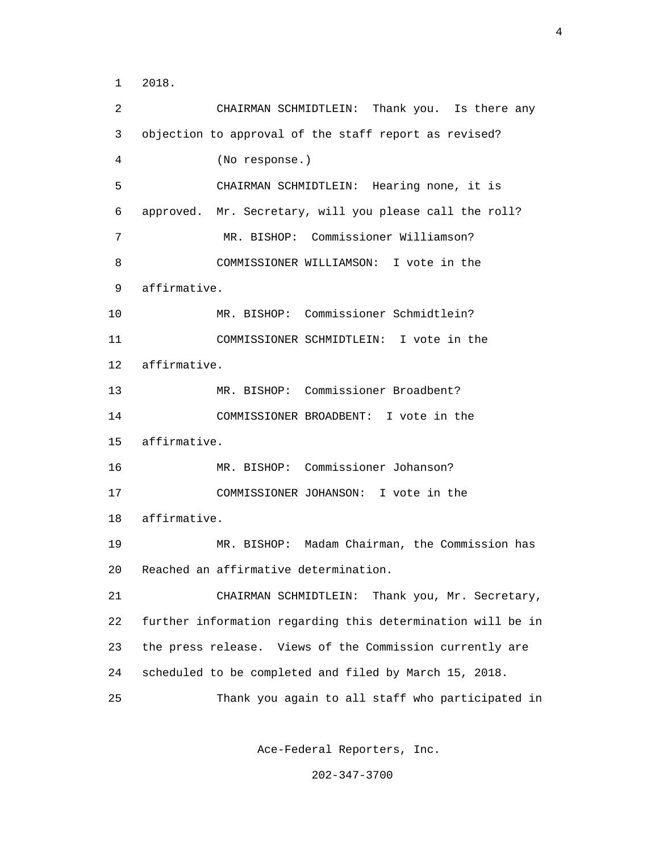1 2018.

 2 CHAIRMAN SCHMIDTLEIN: Thank you. Is there any 3 objection to approval of the staff report as revised? 4 (No response.) 5 CHAIRMAN SCHMIDTLEIN: Hearing none, it is 6 approved. Mr. Secretary, will you please call the roll? 7 MR. BISHOP: Commissioner Williamson? 8 COMMISSIONER WILLIAMSON: I vote in the 9 affirmative. 10 MR. BISHOP: Commissioner Schmidtlein? 11 COMMISSIONER SCHMIDTLEIN: I vote in the 12 affirmative. 13 MR. BISHOP: Commissioner Broadbent? 14 COMMISSIONER BROADBENT: I vote in the 15 affirmative. 16 MR. BISHOP: Commissioner Johanson? 17 COMMISSIONER JOHANSON: I vote in the 18 affirmative. 19 MR. BISHOP: Madam Chairman, the Commission has 20 Reached an affirmative determination. 21 CHAIRMAN SCHMIDTLEIN: Thank you, Mr. Secretary, 22 further information regarding this determination will be in 23 the press release. Views of the Commission currently are 24 scheduled to be completed and filed by March 15, 2018. 25 Thank you again to all staff who participated in

Ace-Federal Reporters, Inc.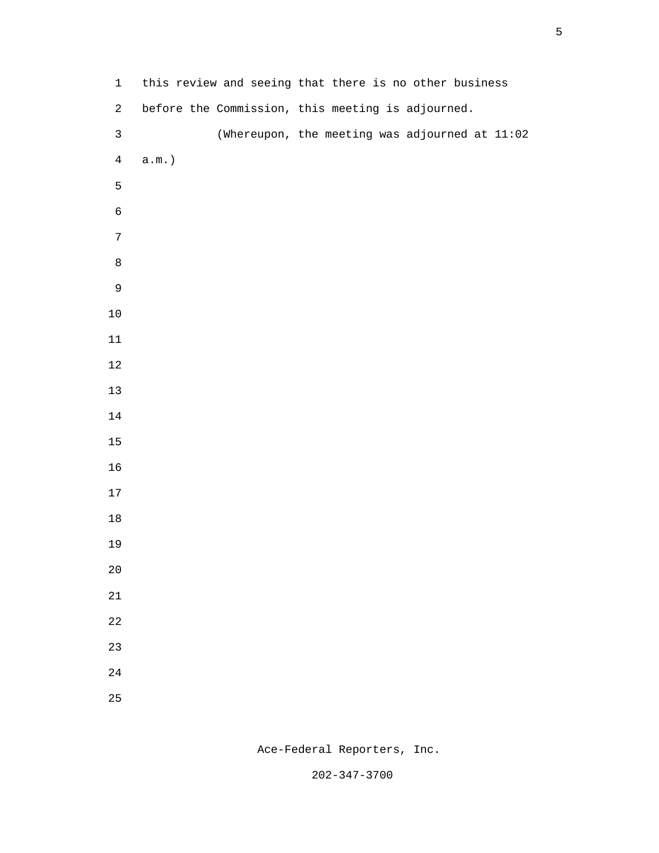| $\mathbf 1$      | this review and seeing that there is no other business |
|------------------|--------------------------------------------------------|
| $\overline{a}$   | before the Commission, this meeting is adjourned.      |
| $\mathsf{3}$     | (Whereupon, the meeting was adjourned at 11:02         |
| $\overline{4}$   | $a.m.$ )                                               |
| 5                |                                                        |
| $\epsilon$       |                                                        |
| $\boldsymbol{7}$ |                                                        |
| $\,8\,$          |                                                        |
| $\mathsf 9$      |                                                        |
| $10$             |                                                        |
| $11\,$           |                                                        |
| $12\,$           |                                                        |
| $13$             |                                                        |
| $14\,$           |                                                        |
| $15$             |                                                        |
| 16               |                                                        |
| $17\,$           |                                                        |
| $18\,$           |                                                        |
| 19               |                                                        |
| $2\,0$           |                                                        |
| $21\,$           |                                                        |
| $2\sqrt{2}$      |                                                        |
| $23\,$           |                                                        |
| 24               |                                                        |
| 25               |                                                        |

Ace-Federal Reporters, Inc.